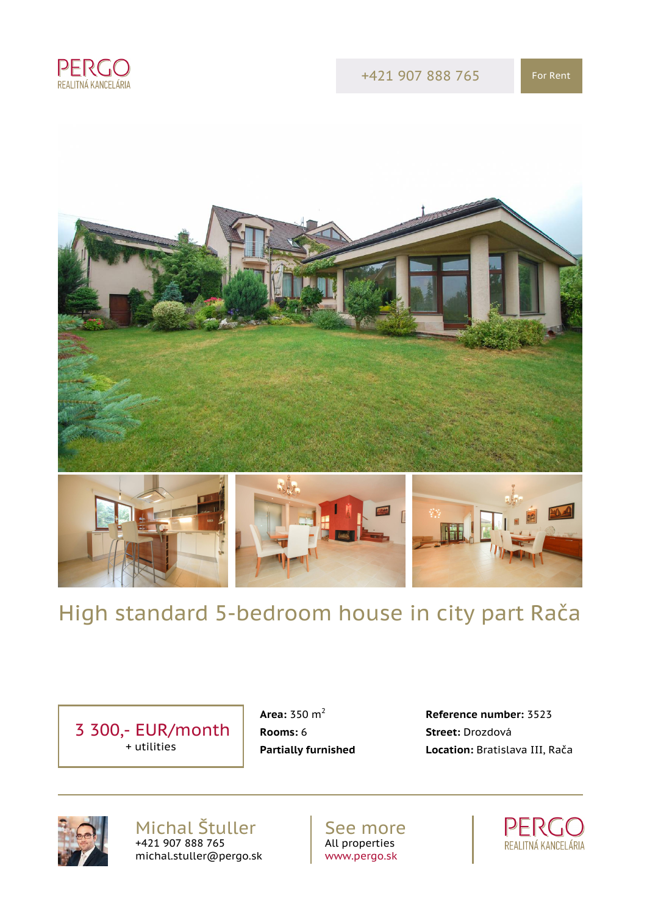



# High standard 5-bedroom house in city part Rača

 3 300,- EUR/month + utilities

**Rooms:** 6 **Street:** Drozdová

 **Area:** 350 m<sup>2</sup> **Reference number:** 3523 **Partially furnished Location:** Bratislava III, Rača



Michal Štuller +421 907 888 765 michal.stuller@pergo.sk

See more All properties [www.pergo.sk](http://www.pergo.sk)